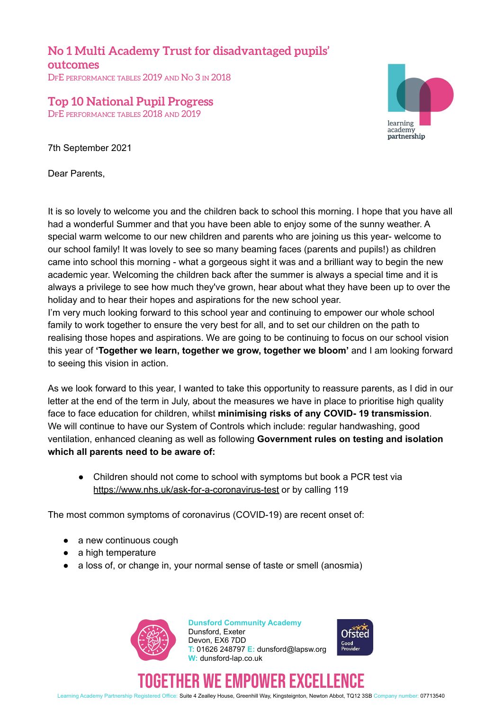**No 1 Multi Academy Trust for disadvantaged pupils' outcomes** DFE PERFORMANCE TABLES 2019 AND No 3 IN 2018

**Top 10 National Pupil Progress** DFE PERFORMANCE TABLES 2018 AND 2019

learning academy partnership

7th September 2021

Dear Parents,

It is so lovely to welcome you and the children back to school this morning. I hope that you have all had a wonderful Summer and that you have been able to enjoy some of the sunny weather. A special warm welcome to our new children and parents who are joining us this year- welcome to our school family! It was lovely to see so many beaming faces (parents and pupils!) as children came into school this morning - what a gorgeous sight it was and a brilliant way to begin the new academic year. Welcoming the children back after the summer is always a special time and it is always a privilege to see how much they've grown, hear about what they have been up to over the holiday and to hear their hopes and aspirations for the new school year.

I'm very much looking forward to this school year and continuing to empower our whole school family to work together to ensure the very best for all, and to set our children on the path to realising those hopes and aspirations. We are going to be continuing to focus on our school vision this year of **'Together we learn, together we grow, together we bloom'** and I am looking forward to seeing this vision in action.

As we look forward to this year, I wanted to take this opportunity to reassure parents, as I did in our letter at the end of the term in July, about the measures we have in place to prioritise high quality face to face education for children, whilst **minimising risks of any COVID- 19 transmission**. We will continue to have our System of Controls which include: regular handwashing, good ventilation, enhanced cleaning as well as following **Government rules on testing and isolation which all parents need to be aware of:**

• Children should not come to school with symptoms but book a PCR test via <https://www.nhs.uk/ask-for-a-coronavirus-test> or by calling 119

The most common symptoms of coronavirus (COVID-19) are recent onset of:

- a new continuous cough
- a high temperature
- a loss of, or change in, your normal sense of taste or smell (anosmia)



**Dunsford Community Academy** Dunsford, Exeter Devon, EX6 7DD **T:** 01626 248797 **E:** dunsford@lapsw.org **W:** dunsford-lap.co.uk



## ER WE EMPUWER EXCE

Learning Academy Partnership Registered Office: Suite 4 Zealley House, Greenhill Way, Kingsteignton, Newton Abbot, TQ12 3SB Company number: 07713540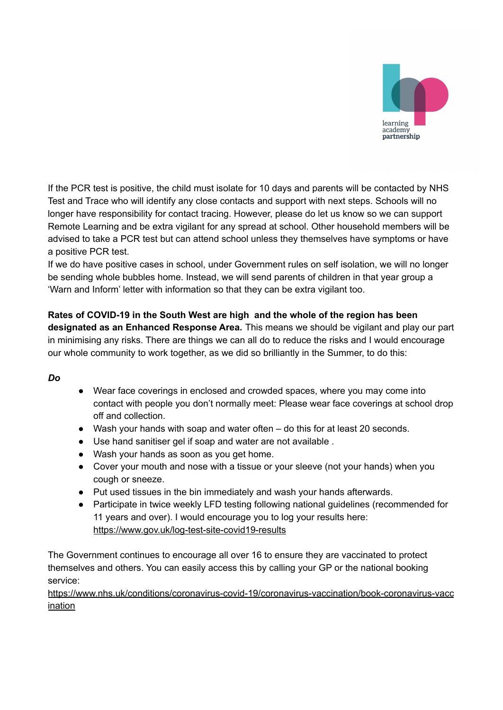

If the PCR test is positive, the child must isolate for 10 days and parents will be contacted by NHS Test and Trace who will identify any close contacts and support with next steps. Schools will no longer have responsibility for contact tracing. However, please do let us know so we can support Remote Learning and be extra vigilant for any spread at school. Other household members will be advised to take a PCR test but can attend school unless they themselves have symptoms or have a positive PCR test.

If we do have positive cases in school, under Government rules on self isolation, we will no longer be sending whole bubbles home. Instead, we will send parents of children in that year group a 'Warn and Inform' letter with information so that they can be extra vigilant too.

**Rates of COVID-19 in the South West are high and the whole of the region has been designated as an Enhanced Response Area.** This means we should be vigilant and play our part in minimising any risks. There are things we can all do to reduce the risks and I would encourage our whole community to work together, as we did so brilliantly in the Summer, to do this:

## *Do*

- Wear face coverings in enclosed and crowded spaces, where you may come into contact with people you don't normally meet: Please wear face coverings at school drop off and collection.
- Wash your hands with soap and water often do this for at least 20 seconds.
- Use hand sanitiser gel if soap and water are not available .
- Wash your hands as soon as you get home.
- Cover your mouth and nose with a tissue or your sleeve (not your hands) when you cough or sneeze.
- Put used tissues in the bin immediately and wash your hands afterwards.
- Participate in twice weekly LFD testing following national guidelines (recommended for 11 years and over). I would encourage you to log your results here: <https://www.gov.uk/log-test-site-covid19-results>

The Government continues to encourage all over 16 to ensure they are vaccinated to protect themselves and others. You can easily access this by calling your GP or the national booking service:

[https://www.nhs.uk/conditions/coronavirus-covid-19/coronavirus-vaccination/book-coronavirus-vacc](https://www.nhs.uk/conditions/coronavirus-covid-19/coronavirus-vaccination/book-coronavirus-vaccination) [ination](https://www.nhs.uk/conditions/coronavirus-covid-19/coronavirus-vaccination/book-coronavirus-vaccination)